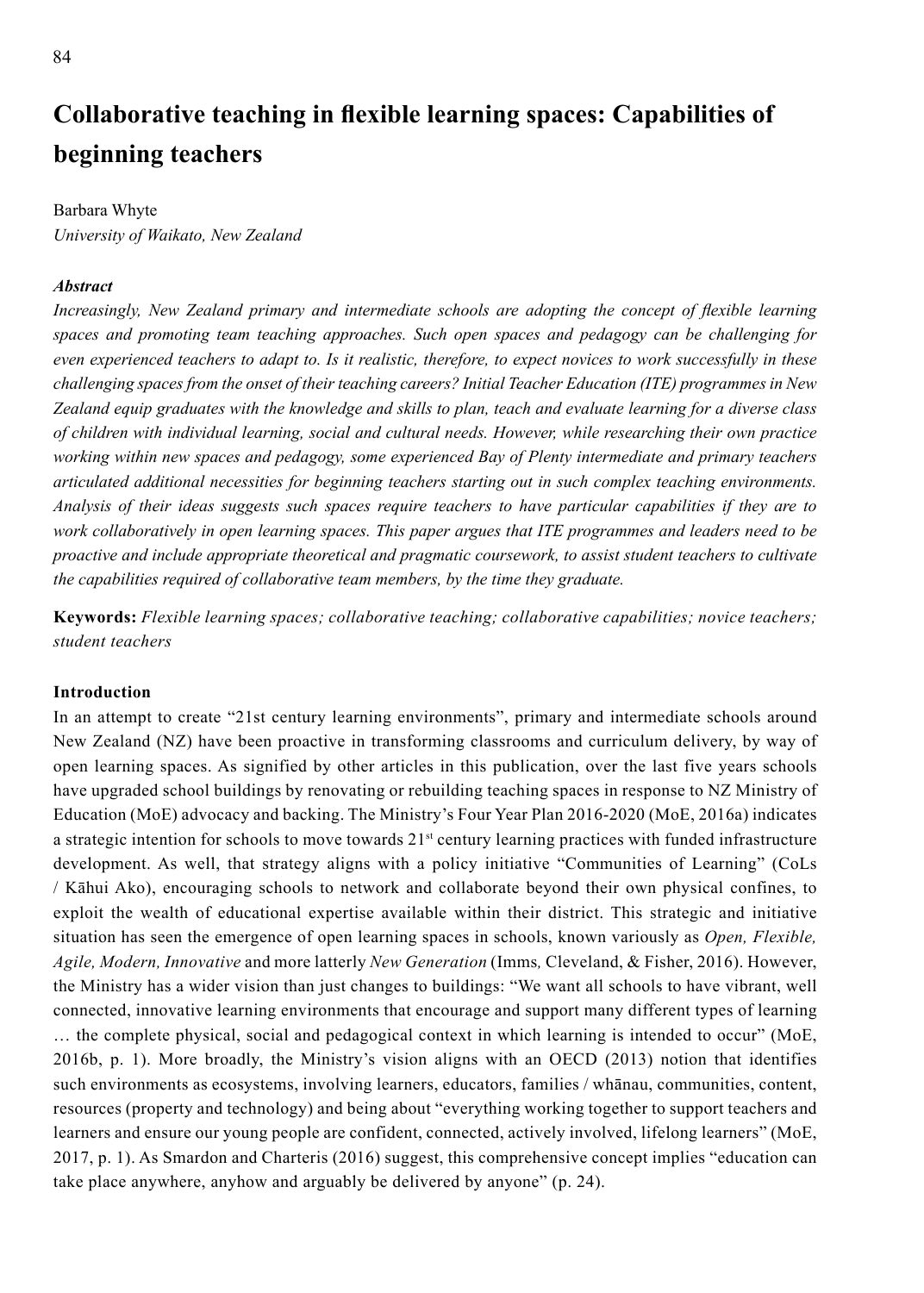# **Collaborative teaching in flexible learning spaces: Capabilities of beginning teachers**

# Barbara Whyte

*University of Waikato, New Zealand*

# *Abstract*

*Increasingly, New Zealand primary and intermediate schools are adopting the concept of flexible learning spaces and promoting team teaching approaches. Such open spaces and pedagogy can be challenging for even experienced teachers to adapt to. Is it realistic, therefore, to expect novices to work successfully in these challenging spaces from the onset of their teaching careers? Initial Teacher Education (ITE) programmes in New Zealand equip graduates with the knowledge and skills to plan, teach and evaluate learning for a diverse class of children with individual learning, social and cultural needs. However, while researching their own practice working within new spaces and pedagogy, some experienced Bay of Plenty intermediate and primary teachers articulated additional necessities for beginning teachers starting out in such complex teaching environments. Analysis of their ideas suggests such spaces require teachers to have particular capabilities if they are to work collaboratively in open learning spaces. This paper argues that ITE programmes and leaders need to be proactive and include appropriate theoretical and pragmatic coursework, to assist student teachers to cultivate the capabilities required of collaborative team members, by the time they graduate.* 

**Keywords:** *Flexible learning spaces; collaborative teaching; collaborative capabilities; novice teachers; student teachers*

# **Introduction**

In an attempt to create "21st century learning environments", primary and intermediate schools around New Zealand (NZ) have been proactive in transforming classrooms and curriculum delivery, by way of open learning spaces. As signified by other articles in this publication, over the last five years schools have upgraded school buildings by renovating or rebuilding teaching spaces in response to NZ Ministry of Education (MoE) advocacy and backing. The Ministry's Four Year Plan 2016-2020 (MoE, 2016a) indicates a strategic intention for schools to move towards 21st century learning practices with funded infrastructure development. As well, that strategy aligns with a policy initiative "Communities of Learning" (CoLs / Kāhui Ako), encouraging schools to network and collaborate beyond their own physical confines, to exploit the wealth of educational expertise available within their district. This strategic and initiative situation has seen the emergence of open learning spaces in schools, known variously as *Open, Flexible, Agile, Modern, Innovative* and more latterly *New Generation* (Imms*,* Cleveland, & Fisher, 2016). However, the Ministry has a wider vision than just changes to buildings: "We want all schools to have vibrant, well connected, innovative learning environments that encourage and support many different types of learning … the complete physical, social and pedagogical context in which learning is intended to occur" (MoE, 2016b, p. 1). More broadly, the Ministry's vision aligns with an OECD (2013) notion that identifies such environments as ecosystems, involving learners, educators, families / whānau, communities, content, resources (property and technology) and being about "everything working together to support teachers and learners and ensure our young people are confident, connected, actively involved, lifelong learners" (MoE, 2017, p. 1). As Smardon and Charteris (2016) suggest, this comprehensive concept implies "education can take place anywhere, anyhow and arguably be delivered by anyone" (p. 24).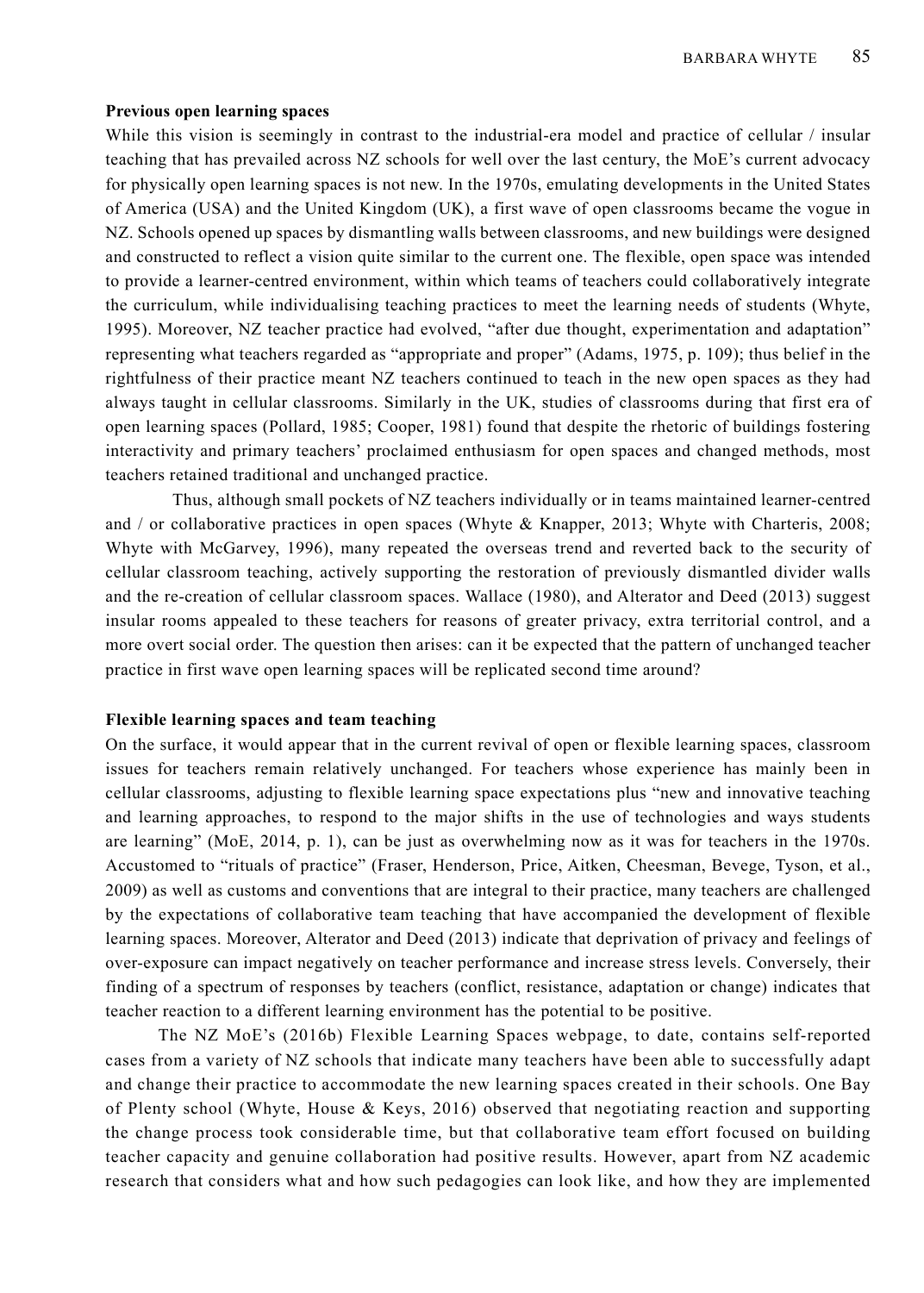## **Previous open learning spaces**

While this vision is seemingly in contrast to the industrial-era model and practice of cellular / insular teaching that has prevailed across NZ schools for well over the last century, the MoE's current advocacy for physically open learning spaces is not new. In the 1970s, emulating developments in the United States of America (USA) and the United Kingdom (UK), a first wave of open classrooms became the vogue in NZ. Schools opened up spaces by dismantling walls between classrooms, and new buildings were designed and constructed to reflect a vision quite similar to the current one. The flexible, open space was intended to provide a learner-centred environment, within which teams of teachers could collaboratively integrate the curriculum, while individualising teaching practices to meet the learning needs of students (Whyte, 1995). Moreover, NZ teacher practice had evolved, "after due thought, experimentation and adaptation" representing what teachers regarded as "appropriate and proper" (Adams, 1975, p. 109); thus belief in the rightfulness of their practice meant NZ teachers continued to teach in the new open spaces as they had always taught in cellular classrooms. Similarly in the UK, studies of classrooms during that first era of open learning spaces (Pollard, 1985; Cooper, 1981) found that despite the rhetoric of buildings fostering interactivity and primary teachers' proclaimed enthusiasm for open spaces and changed methods, most teachers retained traditional and unchanged practice.

Thus, although small pockets of NZ teachers individually or in teams maintained learner-centred and / or collaborative practices in open spaces (Whyte & Knapper, 2013; Whyte with Charteris, 2008; Whyte with McGarvey, 1996), many repeated the overseas trend and reverted back to the security of cellular classroom teaching, actively supporting the restoration of previously dismantled divider walls and the re-creation of cellular classroom spaces. Wallace (1980), and Alterator and Deed (2013) suggest insular rooms appealed to these teachers for reasons of greater privacy, extra territorial control, and a more overt social order. The question then arises: can it be expected that the pattern of unchanged teacher practice in first wave open learning spaces will be replicated second time around?

## **Flexible learning spaces and team teaching**

On the surface, it would appear that in the current revival of open or flexible learning spaces, classroom issues for teachers remain relatively unchanged. For teachers whose experience has mainly been in cellular classrooms, adjusting to flexible learning space expectations plus "new and innovative teaching and learning approaches, to respond to the major shifts in the use of technologies and ways students are learning" (MoE, 2014, p. 1), can be just as overwhelming now as it was for teachers in the 1970s. Accustomed to "rituals of practice" (Fraser, Henderson, Price, Aitken, Cheesman, Bevege, Tyson, et al., 2009) as well as customs and conventions that are integral to their practice, many teachers are challenged by the expectations of collaborative team teaching that have accompanied the development of flexible learning spaces. Moreover, Alterator and Deed (2013) indicate that deprivation of privacy and feelings of over-exposure can impact negatively on teacher performance and increase stress levels. Conversely, their finding of a spectrum of responses by teachers (conflict, resistance, adaptation or change) indicates that teacher reaction to a different learning environment has the potential to be positive.

The NZ MoE's (2016b) Flexible Learning Spaces webpage, to date, contains self-reported cases from a variety of NZ schools that indicate many teachers have been able to successfully adapt and change their practice to accommodate the new learning spaces created in their schools. One Bay of Plenty school (Whyte, House & Keys, 2016) observed that negotiating reaction and supporting the change process took considerable time, but that collaborative team effort focused on building teacher capacity and genuine collaboration had positive results. However, apart from NZ academic research that considers what and how such pedagogies can look like, and how they are implemented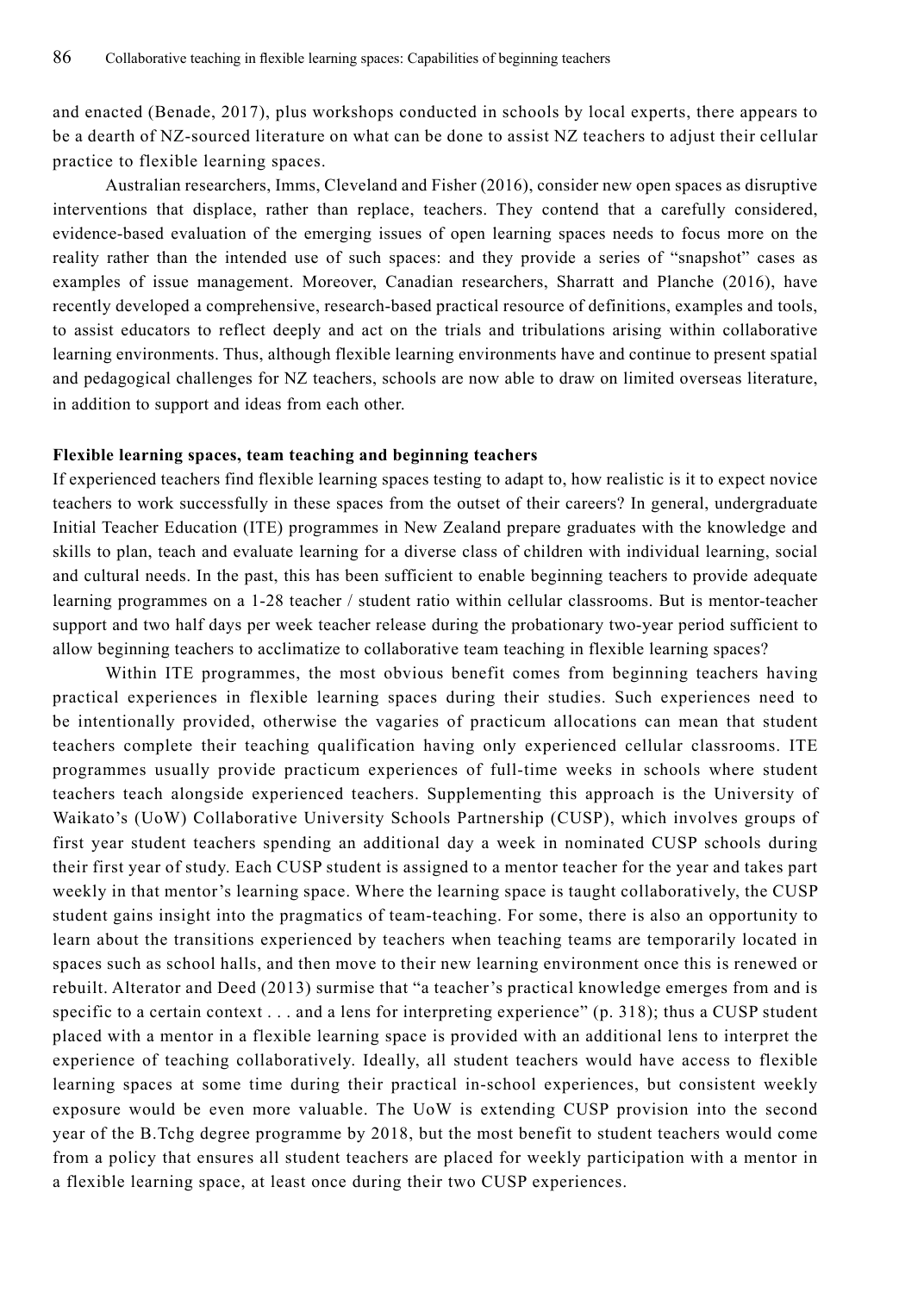and enacted (Benade, 2017), plus workshops conducted in schools by local experts, there appears to be a dearth of NZ-sourced literature on what can be done to assist NZ teachers to adjust their cellular practice to flexible learning spaces.

Australian researchers, Imms, Cleveland and Fisher (2016), consider new open spaces as disruptive interventions that displace, rather than replace, teachers. They contend that a carefully considered, evidence-based evaluation of the emerging issues of open learning spaces needs to focus more on the reality rather than the intended use of such spaces: and they provide a series of "snapshot" cases as examples of issue management. Moreover, Canadian researchers, Sharratt and Planche (2016), have recently developed a comprehensive, research-based practical resource of definitions, examples and tools, to assist educators to reflect deeply and act on the trials and tribulations arising within collaborative learning environments. Thus, although flexible learning environments have and continue to present spatial and pedagogical challenges for NZ teachers, schools are now able to draw on limited overseas literature, in addition to support and ideas from each other.

#### **Flexible learning spaces, team teaching and beginning teachers**

If experienced teachers find flexible learning spaces testing to adapt to, how realistic is it to expect novice teachers to work successfully in these spaces from the outset of their careers? In general, undergraduate Initial Teacher Education (ITE) programmes in New Zealand prepare graduates with the knowledge and skills to plan, teach and evaluate learning for a diverse class of children with individual learning, social and cultural needs. In the past, this has been sufficient to enable beginning teachers to provide adequate learning programmes on a 1-28 teacher / student ratio within cellular classrooms. But is mentor-teacher support and two half days per week teacher release during the probationary two-year period sufficient to allow beginning teachers to acclimatize to collaborative team teaching in flexible learning spaces?

Within ITE programmes, the most obvious benefit comes from beginning teachers having practical experiences in flexible learning spaces during their studies. Such experiences need to be intentionally provided, otherwise the vagaries of practicum allocations can mean that student teachers complete their teaching qualification having only experienced cellular classrooms. ITE programmes usually provide practicum experiences of full-time weeks in schools where student teachers teach alongside experienced teachers. Supplementing this approach is the University of Waikato's (UoW) Collaborative University Schools Partnership (CUSP), which involves groups of first year student teachers spending an additional day a week in nominated CUSP schools during their first year of study. Each CUSP student is assigned to a mentor teacher for the year and takes part weekly in that mentor's learning space. Where the learning space is taught collaboratively, the CUSP student gains insight into the pragmatics of team-teaching. For some, there is also an opportunity to learn about the transitions experienced by teachers when teaching teams are temporarily located in spaces such as school halls, and then move to their new learning environment once this is renewed or rebuilt. Alterator and Deed (2013) surmise that "a teacher's practical knowledge emerges from and is specific to a certain context  $\dots$  and a lens for interpreting experience" (p. 318); thus a CUSP student placed with a mentor in a flexible learning space is provided with an additional lens to interpret the experience of teaching collaboratively. Ideally, all student teachers would have access to flexible learning spaces at some time during their practical in-school experiences, but consistent weekly exposure would be even more valuable. The UoW is extending CUSP provision into the second year of the B.Tchg degree programme by 2018, but the most benefit to student teachers would come from a policy that ensures all student teachers are placed for weekly participation with a mentor in a flexible learning space, at least once during their two CUSP experiences.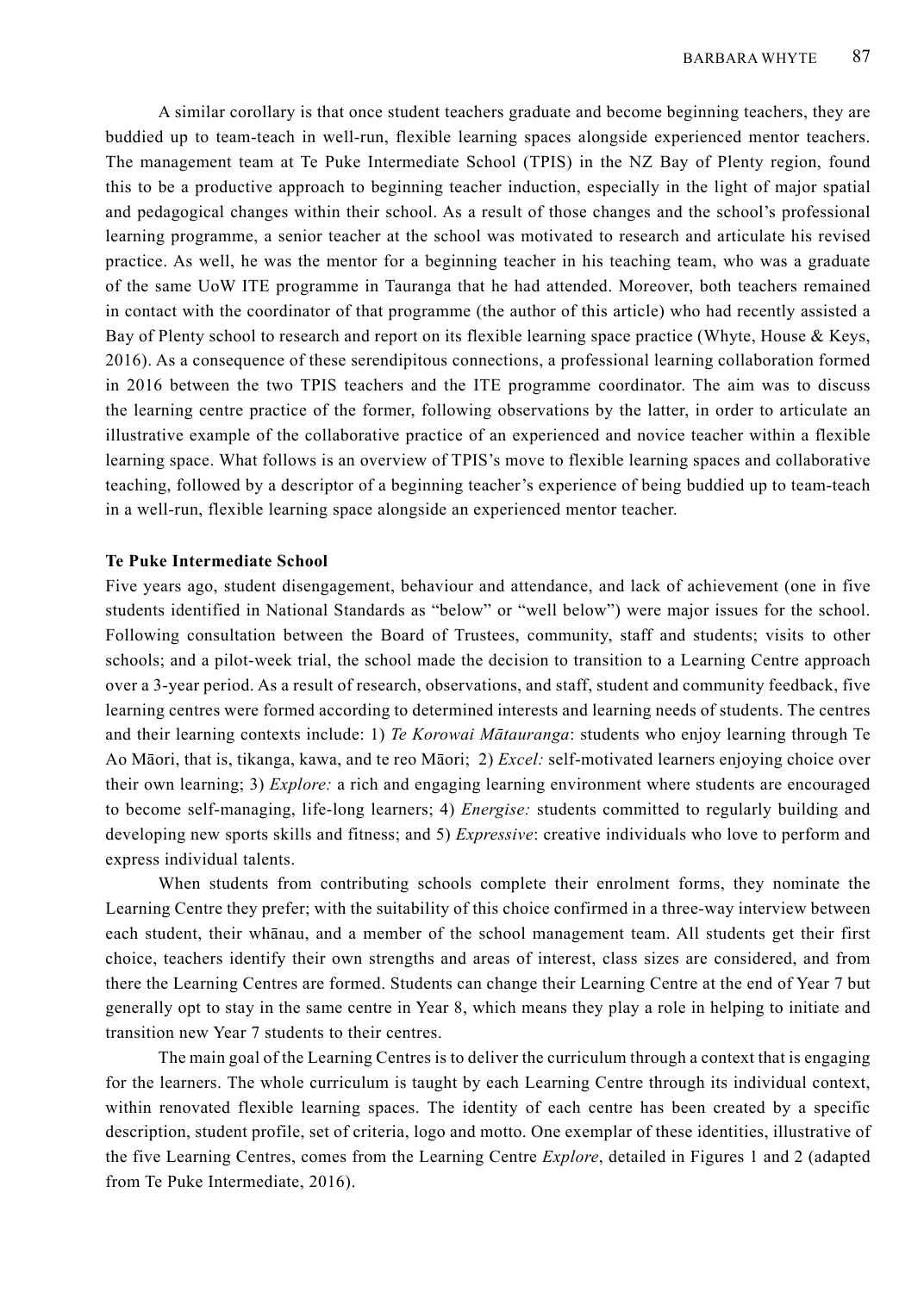A similar corollary is that once student teachers graduate and become beginning teachers, they are buddied up to team-teach in well-run, flexible learning spaces alongside experienced mentor teachers. The management team at Te Puke Intermediate School (TPIS) in the NZ Bay of Plenty region, found this to be a productive approach to beginning teacher induction, especially in the light of major spatial and pedagogical changes within their school. As a result of those changes and the school's professional learning programme, a senior teacher at the school was motivated to research and articulate his revised practice. As well, he was the mentor for a beginning teacher in his teaching team, who was a graduate of the same UoW ITE programme in Tauranga that he had attended. Moreover, both teachers remained in contact with the coordinator of that programme (the author of this article) who had recently assisted a Bay of Plenty school to research and report on its flexible learning space practice (Whyte, House & Keys, 2016). As a consequence of these serendipitous connections, a professional learning collaboration formed in 2016 between the two TPIS teachers and the ITE programme coordinator. The aim was to discuss the learning centre practice of the former, following observations by the latter, in order to articulate an illustrative example of the collaborative practice of an experienced and novice teacher within a flexible learning space. What follows is an overview of TPIS's move to flexible learning spaces and collaborative teaching, followed by a descriptor of a beginning teacher's experience of being buddied up to team-teach in a well-run, flexible learning space alongside an experienced mentor teacher.

# **Te Puke Intermediate School**

Five years ago, student disengagement, behaviour and attendance, and lack of achievement (one in five students identified in National Standards as "below" or "well below") were major issues for the school. Following consultation between the Board of Trustees, community, staff and students; visits to other schools; and a pilot-week trial, the school made the decision to transition to a Learning Centre approach over a 3-year period. As a result of research, observations, and staff, student and community feedback, five learning centres were formed according to determined interests and learning needs of students. The centres and their learning contexts include: 1) *Te Korowai Mātauranga*: students who enjoy learning through Te Ao Māori, that is, tikanga, kawa, and te reo Māori; 2) *Excel:* self-motivated learners enjoying choice over their own learning; 3) *Explore:* a rich and engaging learning environment where students are encouraged to become self-managing, life-long learners; 4) *Energise:* students committed to regularly building and developing new sports skills and fitness; and 5) *Expressive*: creative individuals who love to perform and express individual talents.

When students from contributing schools complete their enrolment forms, they nominate the Learning Centre they prefer; with the suitability of this choice confirmed in a three-way interview between each student, their whānau, and a member of the school management team. All students get their first choice, teachers identify their own strengths and areas of interest, class sizes are considered, and from there the Learning Centres are formed. Students can change their Learning Centre at the end of Year 7 but generally opt to stay in the same centre in Year 8, which means they play a role in helping to initiate and transition new Year 7 students to their centres.

The main goal of the Learning Centres is to deliver the curriculum through a context that is engaging for the learners. The whole curriculum is taught by each Learning Centre through its individual context, within renovated flexible learning spaces. The identity of each centre has been created by a specific description, student profile, set of criteria, logo and motto. One exemplar of these identities, illustrative of the five Learning Centres, comes from the Learning Centre *Explore*, detailed in Figures 1 and 2 (adapted from Te Puke Intermediate, 2016).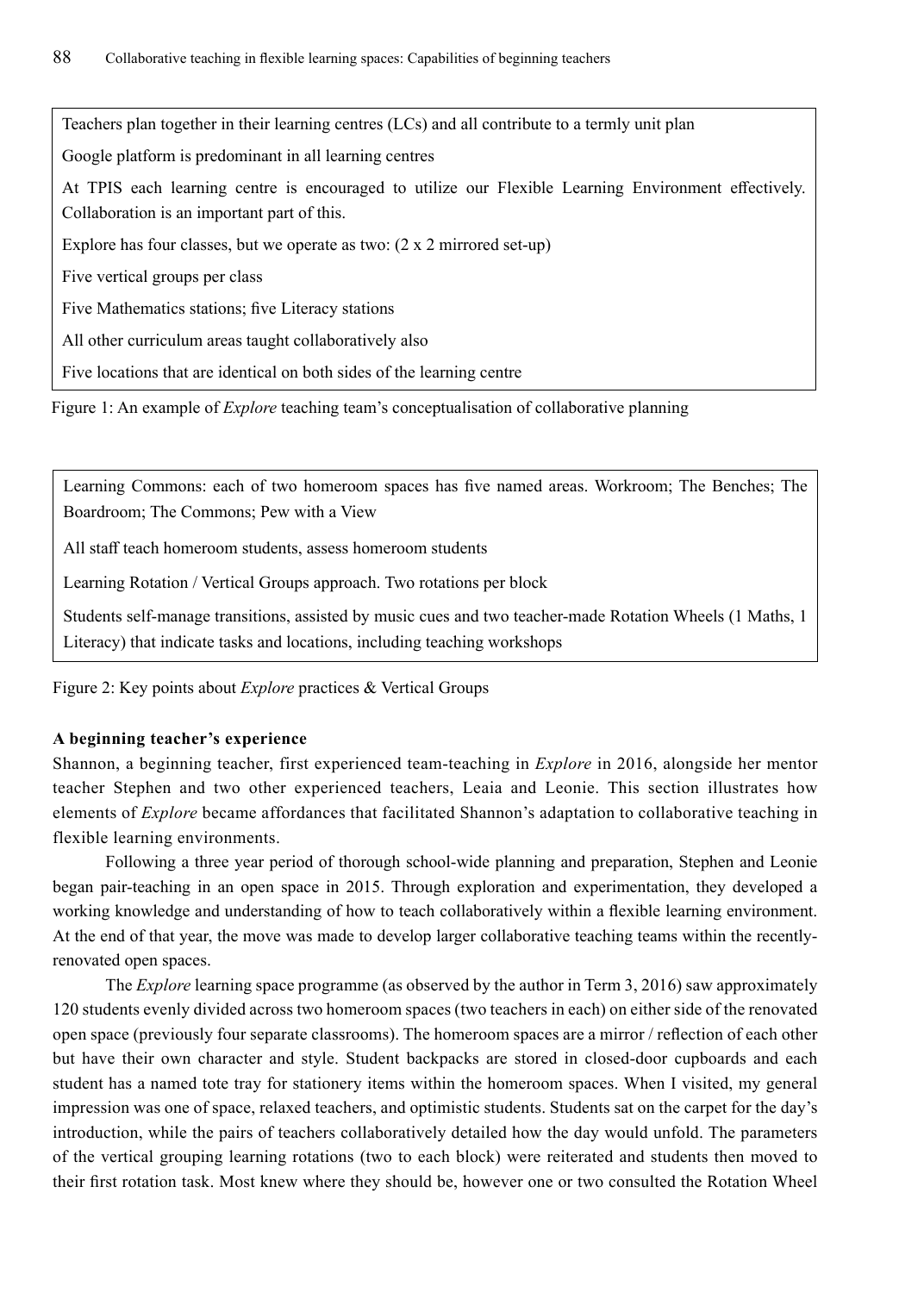Teachers plan together in their learning centres (LCs) and all contribute to a termly unit plan

Google platform is predominant in all learning centres

At TPIS each learning centre is encouraged to utilize our Flexible Learning Environment effectively. Collaboration is an important part of this.

Explore has four classes, but we operate as two: (2 x 2 mirrored set-up)

Five vertical groups per class

Five Mathematics stations; five Literacy stations

All other curriculum areas taught collaboratively also

Five locations that are identical on both sides of the learning centre

Figure 1: An example of *Explore* teaching team's conceptualisation of collaborative planning

Learning Commons: each of two homeroom spaces has five named areas. Workroom; The Benches; The Boardroom; The Commons; Pew with a View

All staff teach homeroom students, assess homeroom students

Learning Rotation / Vertical Groups approach. Two rotations per block

Students self-manage transitions, assisted by music cues and two teacher-made Rotation Wheels (1 Maths, 1 Literacy) that indicate tasks and locations, including teaching workshops

Figure 2: Key points about *Explore* practices & Vertical Groups

# **A beginning teacher's experience**

Shannon, a beginning teacher, first experienced team-teaching in *Explore* in 2016, alongside her mentor teacher Stephen and two other experienced teachers, Leaia and Leonie. This section illustrates how elements of *Explore* became affordances that facilitated Shannon's adaptation to collaborative teaching in flexible learning environments.

Following a three year period of thorough school-wide planning and preparation, Stephen and Leonie began pair-teaching in an open space in 2015. Through exploration and experimentation, they developed a working knowledge and understanding of how to teach collaboratively within a flexible learning environment. At the end of that year, the move was made to develop larger collaborative teaching teams within the recentlyrenovated open spaces.

The *Explore* learning space programme (as observed by the author in Term 3, 2016) saw approximately 120 students evenly divided across two homeroom spaces (two teachers in each) on either side of the renovated open space (previously four separate classrooms). The homeroom spaces are a mirror / reflection of each other but have their own character and style. Student backpacks are stored in closed-door cupboards and each student has a named tote tray for stationery items within the homeroom spaces. When I visited, my general impression was one of space, relaxed teachers, and optimistic students. Students sat on the carpet for the day's introduction, while the pairs of teachers collaboratively detailed how the day would unfold. The parameters of the vertical grouping learning rotations (two to each block) were reiterated and students then moved to their first rotation task. Most knew where they should be, however one or two consulted the Rotation Wheel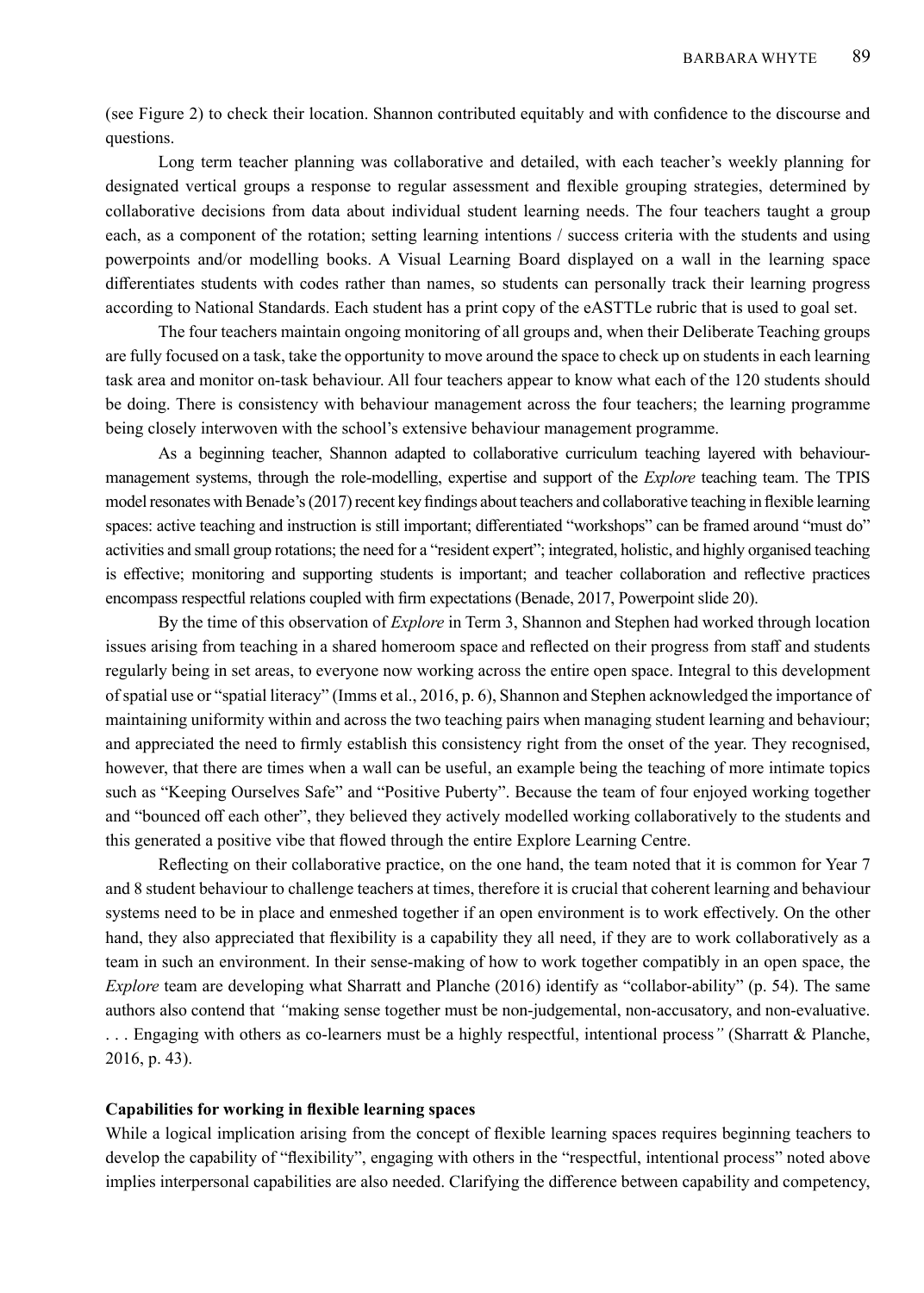(see Figure 2) to check their location. Shannon contributed equitably and with confidence to the discourse and questions.

Long term teacher planning was collaborative and detailed, with each teacher's weekly planning for designated vertical groups a response to regular assessment and flexible grouping strategies, determined by collaborative decisions from data about individual student learning needs. The four teachers taught a group each, as a component of the rotation; setting learning intentions / success criteria with the students and using powerpoints and/or modelling books. A Visual Learning Board displayed on a wall in the learning space differentiates students with codes rather than names, so students can personally track their learning progress according to National Standards. Each student has a print copy of the eASTTLe rubric that is used to goal set.

The four teachers maintain ongoing monitoring of all groups and, when their Deliberate Teaching groups are fully focused on a task, take the opportunity to move around the space to check up on students in each learning task area and monitor on-task behaviour. All four teachers appear to know what each of the 120 students should be doing. There is consistency with behaviour management across the four teachers; the learning programme being closely interwoven with the school's extensive behaviour management programme.

As a beginning teacher, Shannon adapted to collaborative curriculum teaching layered with behaviourmanagement systems, through the role-modelling, expertise and support of the *Explore* teaching team. The TPIS model resonates with Benade's (2017) recent key findings about teachers and collaborative teaching in flexible learning spaces: active teaching and instruction is still important; differentiated "workshops" can be framed around "must do" activities and small group rotations; the need for a "resident expert"; integrated, holistic, and highly organised teaching is effective; monitoring and supporting students is important; and teacher collaboration and reflective practices encompass respectful relations coupled with firm expectations (Benade, 2017, Powerpoint slide 20).

By the time of this observation of *Explore* in Term 3, Shannon and Stephen had worked through location issues arising from teaching in a shared homeroom space and reflected on their progress from staff and students regularly being in set areas, to everyone now working across the entire open space. Integral to this development of spatial use or "spatial literacy" (Imms et al., 2016, p. 6), Shannon and Stephen acknowledged the importance of maintaining uniformity within and across the two teaching pairs when managing student learning and behaviour; and appreciated the need to firmly establish this consistency right from the onset of the year. They recognised, however, that there are times when a wall can be useful, an example being the teaching of more intimate topics such as "Keeping Ourselves Safe" and "Positive Puberty". Because the team of four enjoyed working together and "bounced off each other", they believed they actively modelled working collaboratively to the students and this generated a positive vibe that flowed through the entire Explore Learning Centre.

Reflecting on their collaborative practice, on the one hand, the team noted that it is common for Year 7 and 8 student behaviour to challenge teachers at times, therefore it is crucial that coherent learning and behaviour systems need to be in place and enmeshed together if an open environment is to work effectively. On the other hand, they also appreciated that flexibility is a capability they all need, if they are to work collaboratively as a team in such an environment. In their sense-making of how to work together compatibly in an open space, the *Explore* team are developing what Sharratt and Planche (2016) identify as "collabor-ability" (p. 54). The same authors also contend that *"*making sense together must be non-judgemental, non-accusatory, and non-evaluative. . . . Engaging with others as co-learners must be a highly respectful, intentional process*"* (Sharratt & Planche, 2016, p. 43).

#### **Capabilities for working in flexible learning spaces**

While a logical implication arising from the concept of flexible learning spaces requires beginning teachers to develop the capability of "flexibility", engaging with others in the "respectful, intentional process" noted above implies interpersonal capabilities are also needed. Clarifying the difference between capability and competency,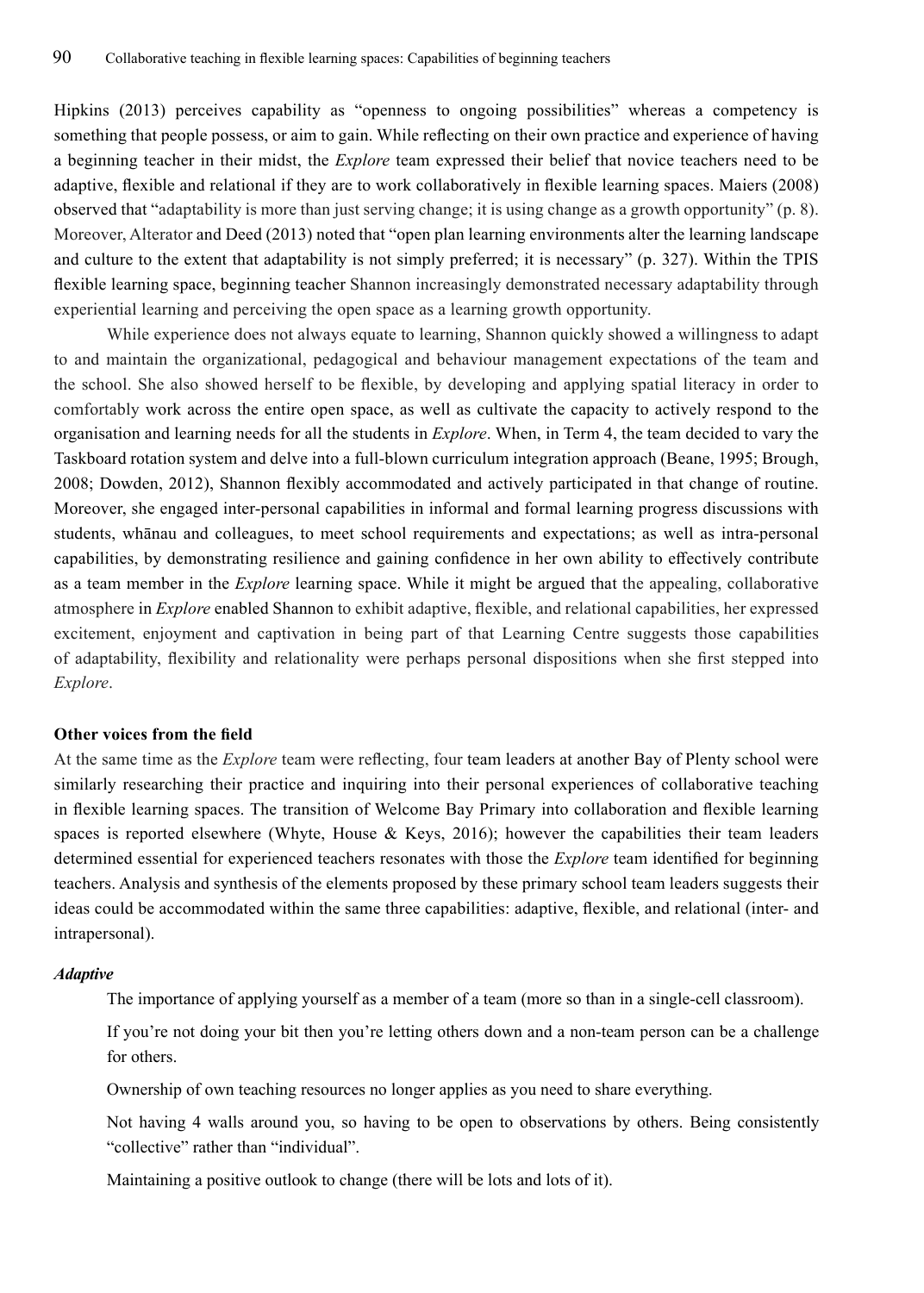Hipkins (2013) perceives capability as "openness to ongoing possibilities" whereas a competency is something that people possess, or aim to gain. While reflecting on their own practice and experience of having a beginning teacher in their midst, the *Explore* team expressed their belief that novice teachers need to be adaptive, flexible and relational if they are to work collaboratively in flexible learning spaces. Maiers (2008) observed that "adaptability is more than just serving change; it is using change as a growth opportunity" (p. 8). Moreover, Alterator and Deed (2013) noted that "open plan learning environments alter the learning landscape and culture to the extent that adaptability is not simply preferred; it is necessary" (p. 327). Within the TPIS flexible learning space, beginning teacher Shannon increasingly demonstrated necessary adaptability through experiential learning and perceiving the open space as a learning growth opportunity.

While experience does not always equate to learning, Shannon quickly showed a willingness to adapt to and maintain the organizational, pedagogical and behaviour management expectations of the team and the school. She also showed herself to be flexible, by developing and applying spatial literacy in order to comfortably work across the entire open space, as well as cultivate the capacity to actively respond to the organisation and learning needs for all the students in *Explore*. When, in Term 4, the team decided to vary the Taskboard rotation system and delve into a full-blown curriculum integration approach (Beane, 1995; Brough, 2008; Dowden, 2012), Shannon flexibly accommodated and actively participated in that change of routine. Moreover, she engaged inter-personal capabilities in informal and formal learning progress discussions with students, whānau and colleagues, to meet school requirements and expectations; as well as intra-personal capabilities, by demonstrating resilience and gaining confidence in her own ability to effectively contribute as a team member in the *Explore* learning space. While it might be argued that the appealing, collaborative atmosphere in *Explore* enabled Shannon to exhibit adaptive, flexible, and relational capabilities, her expressed excitement, enjoyment and captivation in being part of that Learning Centre suggests those capabilities of adaptability, flexibility and relationality were perhaps personal dispositions when she first stepped into *Explore*.

## **Other voices from the field**

At the same time as the *Explore* team were reflecting, four team leaders at another Bay of Plenty school were similarly researching their practice and inquiring into their personal experiences of collaborative teaching in flexible learning spaces. The transition of Welcome Bay Primary into collaboration and flexible learning spaces is reported elsewhere (Whyte, House & Keys, 2016); however the capabilities their team leaders determined essential for experienced teachers resonates with those the *Explore* team identified for beginning teachers. Analysis and synthesis of the elements proposed by these primary school team leaders suggests their ideas could be accommodated within the same three capabilities: adaptive, flexible, and relational (inter- and intrapersonal).

#### *Adaptive*

The importance of applying yourself as a member of a team (more so than in a single-cell classroom).

If you're not doing your bit then you're letting others down and a non-team person can be a challenge for others.

Ownership of own teaching resources no longer applies as you need to share everything.

Not having 4 walls around you, so having to be open to observations by others. Being consistently "collective" rather than "individual".

Maintaining a positive outlook to change (there will be lots and lots of it).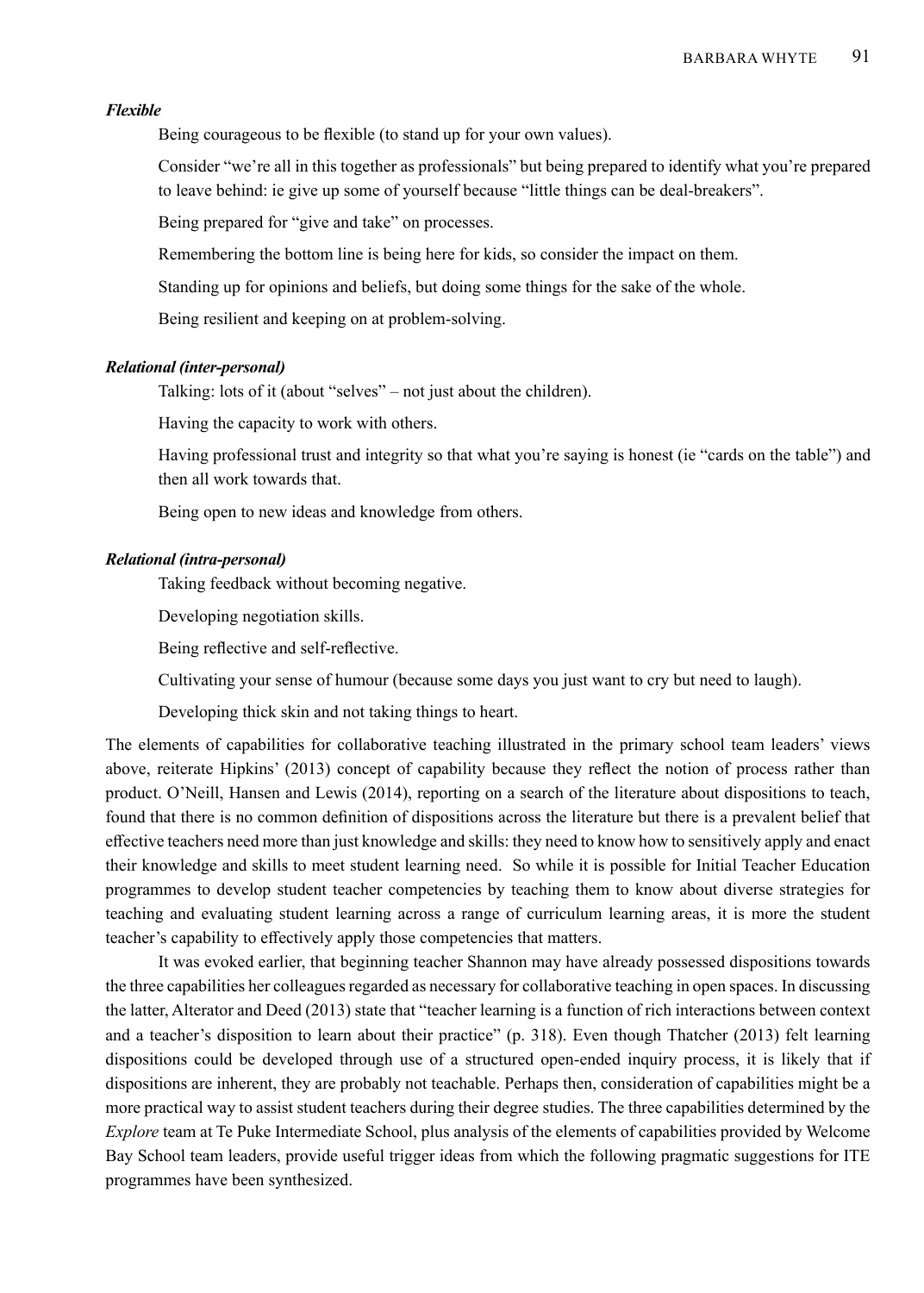## *Flexible*

Being courageous to be flexible (to stand up for your own values).

Consider "we're all in this together as professionals" but being prepared to identify what you're prepared to leave behind: ie give up some of yourself because "little things can be deal-breakers".

Being prepared for "give and take" on processes.

Remembering the bottom line is being here for kids, so consider the impact on them.

Standing up for opinions and beliefs, but doing some things for the sake of the whole.

Being resilient and keeping on at problem-solving.

# *Relational (inter-personal)*

Talking: lots of it (about "selves" – not just about the children).

Having the capacity to work with others.

Having professional trust and integrity so that what you're saying is honest (ie "cards on the table") and then all work towards that.

Being open to new ideas and knowledge from others.

#### *Relational (intra-personal)*

Taking feedback without becoming negative.

Developing negotiation skills.

Being reflective and self-reflective.

Cultivating your sense of humour (because some days you just want to cry but need to laugh).

Developing thick skin and not taking things to heart.

The elements of capabilities for collaborative teaching illustrated in the primary school team leaders' views above, reiterate Hipkins' (2013) concept of capability because they reflect the notion of process rather than product. O'Neill, Hansen and Lewis (2014), reporting on a search of the literature about dispositions to teach, found that there is no common definition of dispositions across the literature but there is a prevalent belief that effective teachers need more than just knowledge and skills: they need to know how to sensitively apply and enact their knowledge and skills to meet student learning need. So while it is possible for Initial Teacher Education programmes to develop student teacher competencies by teaching them to know about diverse strategies for teaching and evaluating student learning across a range of curriculum learning areas, it is more the student teacher's capability to effectively apply those competencies that matters.

It was evoked earlier, that beginning teacher Shannon may have already possessed dispositions towards the three capabilities her colleagues regarded as necessary for collaborative teaching in open spaces. In discussing the latter, Alterator and Deed (2013) state that "teacher learning is a function of rich interactions between context and a teacher's disposition to learn about their practice" (p. 318). Even though Thatcher (2013) felt learning dispositions could be developed through use of a structured open-ended inquiry process, it is likely that if dispositions are inherent, they are probably not teachable. Perhaps then, consideration of capabilities might be a more practical way to assist student teachers during their degree studies. The three capabilities determined by the *Explore* team at Te Puke Intermediate School, plus analysis of the elements of capabilities provided by Welcome Bay School team leaders, provide useful trigger ideas from which the following pragmatic suggestions for ITE programmes have been synthesized.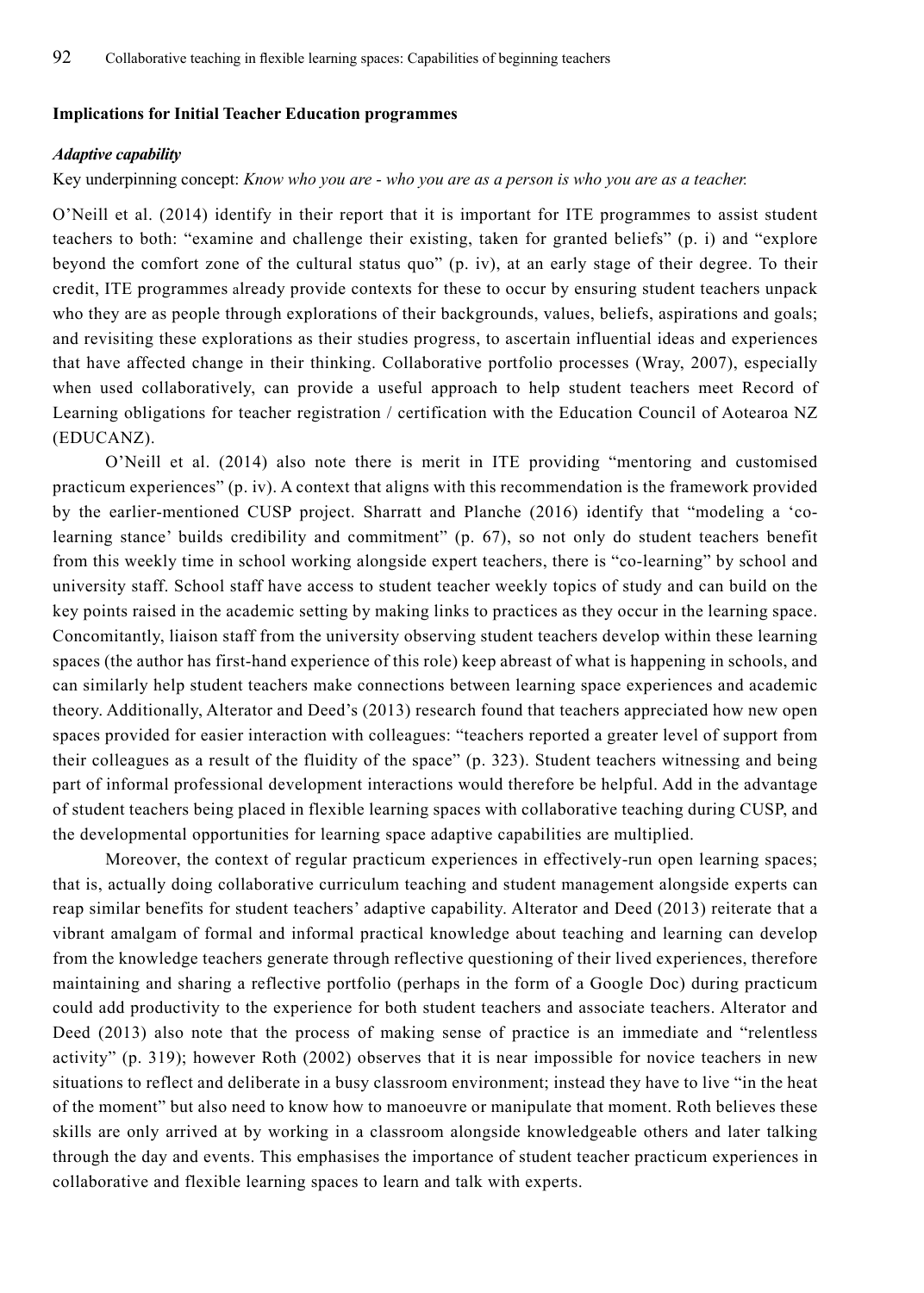#### **Implications for Initial Teacher Education programmes**

#### *Adaptive capability*

## Key underpinning concept: *Know who you are - who you are as a person is who you are as a teacher.*

O'Neill et al. (2014) identify in their report that it is important for ITE programmes to assist student teachers to both: "examine and challenge their existing, taken for granted beliefs" (p. i) and "explore beyond the comfort zone of the cultural status quo" (p. iv), at an early stage of their degree. To their credit, ITE programmes already provide contexts for these to occur by ensuring student teachers unpack who they are as people through explorations of their backgrounds, values, beliefs, aspirations and goals; and revisiting these explorations as their studies progress, to ascertain influential ideas and experiences that have affected change in their thinking. Collaborative portfolio processes (Wray, 2007), especially when used collaboratively, can provide a useful approach to help student teachers meet Record of Learning obligations for teacher registration / certification with the Education Council of Aotearoa NZ (EDUCANZ).

O'Neill et al. (2014) also note there is merit in ITE providing "mentoring and customised practicum experiences" (p. iv). A context that aligns with this recommendation is the framework provided by the earlier-mentioned CUSP project. Sharratt and Planche (2016) identify that "modeling a 'colearning stance' builds credibility and commitment" (p. 67), so not only do student teachers benefit from this weekly time in school working alongside expert teachers, there is "co-learning" by school and university staff. School staff have access to student teacher weekly topics of study and can build on the key points raised in the academic setting by making links to practices as they occur in the learning space. Concomitantly, liaison staff from the university observing student teachers develop within these learning spaces (the author has first-hand experience of this role) keep abreast of what is happening in schools, and can similarly help student teachers make connections between learning space experiences and academic theory. Additionally, Alterator and Deed's (2013) research found that teachers appreciated how new open spaces provided for easier interaction with colleagues: "teachers reported a greater level of support from their colleagues as a result of the fluidity of the space" (p. 323). Student teachers witnessing and being part of informal professional development interactions would therefore be helpful. Add in the advantage of student teachers being placed in flexible learning spaces with collaborative teaching during CUSP, and the developmental opportunities for learning space adaptive capabilities are multiplied.

Moreover, the context of regular practicum experiences in effectively-run open learning spaces; that is, actually doing collaborative curriculum teaching and student management alongside experts can reap similar benefits for student teachers' adaptive capability. Alterator and Deed (2013) reiterate that a vibrant amalgam of formal and informal practical knowledge about teaching and learning can develop from the knowledge teachers generate through reflective questioning of their lived experiences, therefore maintaining and sharing a reflective portfolio (perhaps in the form of a Google Doc) during practicum could add productivity to the experience for both student teachers and associate teachers. Alterator and Deed (2013) also note that the process of making sense of practice is an immediate and "relentless activity" (p. 319); however Roth (2002) observes that it is near impossible for novice teachers in new situations to reflect and deliberate in a busy classroom environment; instead they have to live "in the heat of the moment" but also need to know how to manoeuvre or manipulate that moment. Roth believes these skills are only arrived at by working in a classroom alongside knowledgeable others and later talking through the day and events. This emphasises the importance of student teacher practicum experiences in collaborative and flexible learning spaces to learn and talk with experts.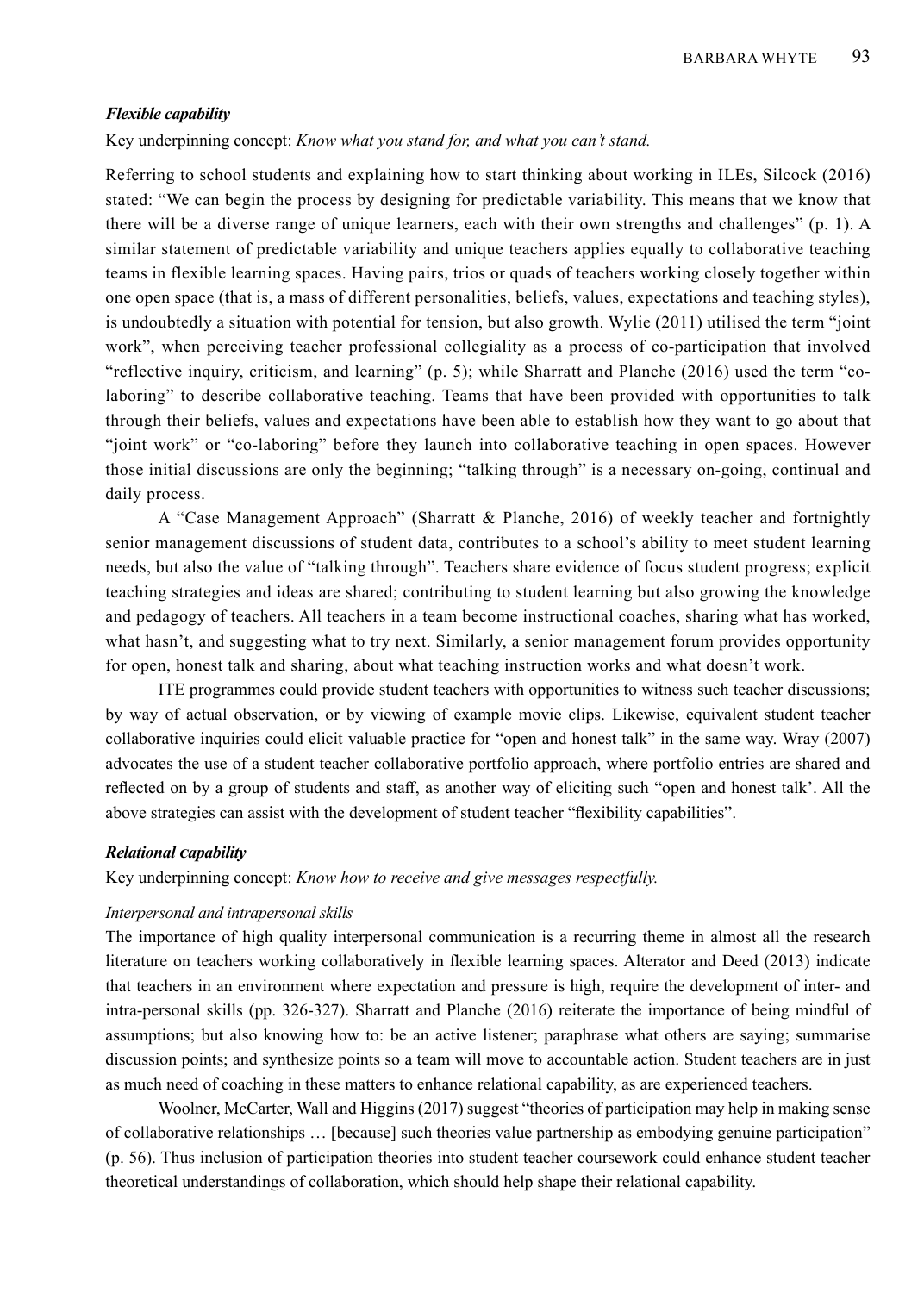#### *Flexible capability*

Key underpinning concept: *Know what you stand for, and what you can't stand.*

Referring to school students and explaining how to start thinking about working in ILEs, Silcock (2016) stated: "We can begin the process by designing for predictable variability. This means that we know that there will be a diverse range of unique learners, each with their own strengths and challenges" (p. 1). A similar statement of predictable variability and unique teachers applies equally to collaborative teaching teams in flexible learning spaces. Having pairs, trios or quads of teachers working closely together within one open space (that is, a mass of different personalities, beliefs, values, expectations and teaching styles), is undoubtedly a situation with potential for tension, but also growth. Wylie (2011) utilised the term "joint work", when perceiving teacher professional collegiality as a process of co-participation that involved "reflective inquiry, criticism, and learning" (p. 5); while Sharratt and Planche (2016) used the term "colaboring" to describe collaborative teaching. Teams that have been provided with opportunities to talk through their beliefs, values and expectations have been able to establish how they want to go about that "joint work" or "co-laboring" before they launch into collaborative teaching in open spaces. However those initial discussions are only the beginning; "talking through" is a necessary on-going, continual and daily process.

A "Case Management Approach" (Sharratt & Planche, 2016) of weekly teacher and fortnightly senior management discussions of student data, contributes to a school's ability to meet student learning needs, but also the value of "talking through". Teachers share evidence of focus student progress; explicit teaching strategies and ideas are shared; contributing to student learning but also growing the knowledge and pedagogy of teachers. All teachers in a team become instructional coaches, sharing what has worked, what hasn't, and suggesting what to try next. Similarly, a senior management forum provides opportunity for open, honest talk and sharing, about what teaching instruction works and what doesn't work.

ITE programmes could provide student teachers with opportunities to witness such teacher discussions; by way of actual observation, or by viewing of example movie clips. Likewise, equivalent student teacher collaborative inquiries could elicit valuable practice for "open and honest talk" in the same way. Wray (2007) advocates the use of a student teacher collaborative portfolio approach, where portfolio entries are shared and reflected on by a group of students and staff, as another way of eliciting such "open and honest talk'. All the above strategies can assist with the development of student teacher "flexibility capabilities".

## *Relational capability*

Key underpinning concept: *Know how to receive and give messages respectfully.*

#### *Interpersonal and intrapersonal skills*

The importance of high quality interpersonal communication is a recurring theme in almost all the research literature on teachers working collaboratively in flexible learning spaces. Alterator and Deed (2013) indicate that teachers in an environment where expectation and pressure is high, require the development of inter- and intra-personal skills (pp. 326-327). Sharratt and Planche (2016) reiterate the importance of being mindful of assumptions; but also knowing how to: be an active listener; paraphrase what others are saying; summarise discussion points; and synthesize points so a team will move to accountable action. Student teachers are in just as much need of coaching in these matters to enhance relational capability, as are experienced teachers.

Woolner, McCarter, Wall and Higgins (2017) suggest "theories of participation may help in making sense of collaborative relationships … [because] such theories value partnership as embodying genuine participation" (p. 56). Thus inclusion of participation theories into student teacher coursework could enhance student teacher theoretical understandings of collaboration, which should help shape their relational capability.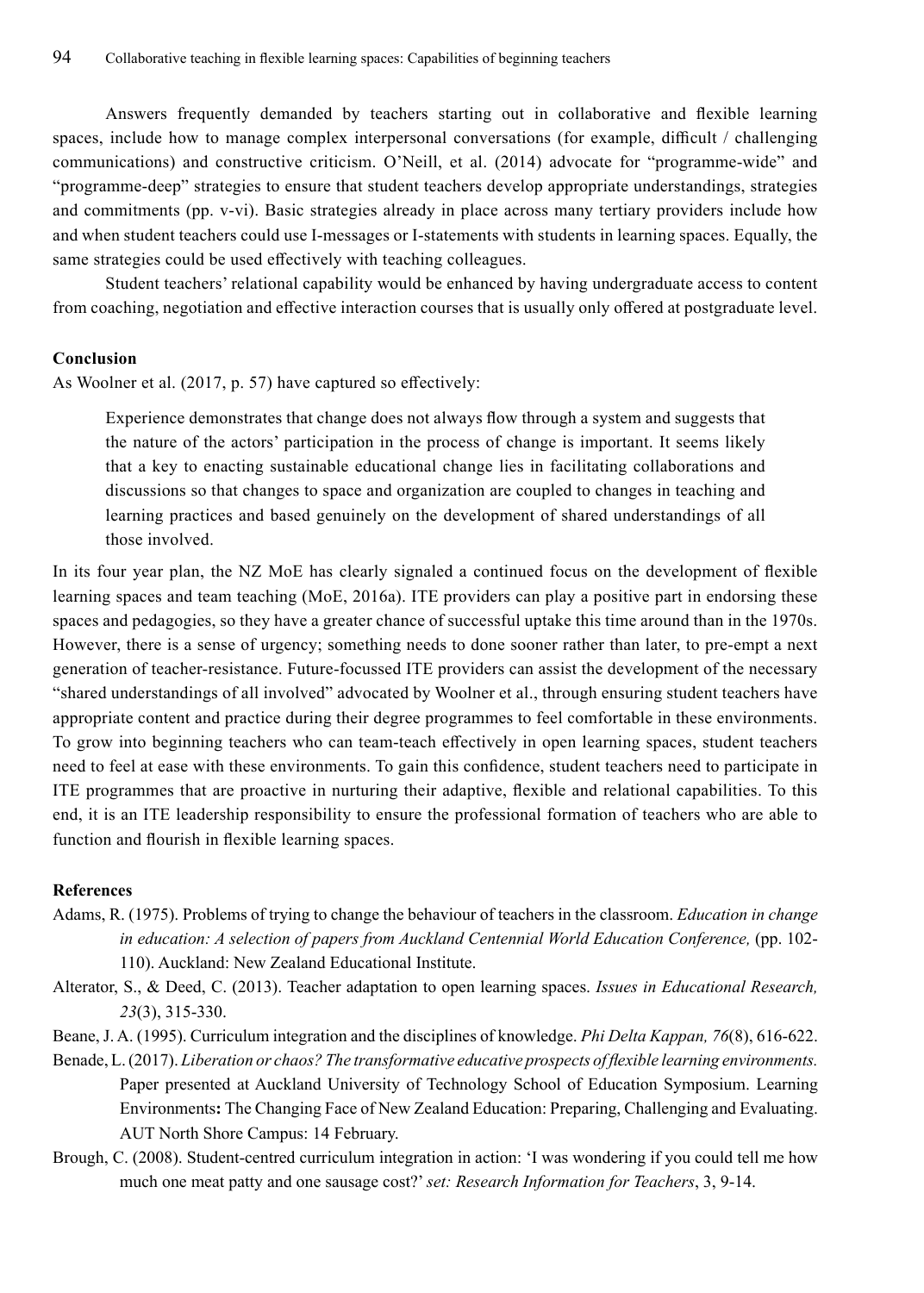Answers frequently demanded by teachers starting out in collaborative and flexible learning spaces, include how to manage complex interpersonal conversations (for example, difficult / challenging communications) and constructive criticism. O'Neill, et al. (2014) advocate for "programme-wide" and "programme-deep" strategies to ensure that student teachers develop appropriate understandings, strategies and commitments (pp. v-vi). Basic strategies already in place across many tertiary providers include how and when student teachers could use I-messages or I-statements with students in learning spaces. Equally, the same strategies could be used effectively with teaching colleagues.

Student teachers' relational capability would be enhanced by having undergraduate access to content from coaching, negotiation and effective interaction courses that is usually only offered at postgraduate level.

# **Conclusion**

As Woolner et al. (2017, p. 57) have captured so effectively:

Experience demonstrates that change does not always flow through a system and suggests that the nature of the actors' participation in the process of change is important. It seems likely that a key to enacting sustainable educational change lies in facilitating collaborations and discussions so that changes to space and organization are coupled to changes in teaching and learning practices and based genuinely on the development of shared understandings of all those involved.

In its four year plan, the NZ MoE has clearly signaled a continued focus on the development of flexible learning spaces and team teaching (MoE, 2016a). ITE providers can play a positive part in endorsing these spaces and pedagogies, so they have a greater chance of successful uptake this time around than in the 1970s. However, there is a sense of urgency; something needs to done sooner rather than later, to pre-empt a next generation of teacher-resistance. Future-focussed ITE providers can assist the development of the necessary "shared understandings of all involved" advocated by Woolner et al., through ensuring student teachers have appropriate content and practice during their degree programmes to feel comfortable in these environments. To grow into beginning teachers who can team-teach effectively in open learning spaces, student teachers need to feel at ease with these environments. To gain this confidence, student teachers need to participate in ITE programmes that are proactive in nurturing their adaptive, flexible and relational capabilities. To this end, it is an ITE leadership responsibility to ensure the professional formation of teachers who are able to function and flourish in flexible learning spaces.

# **References**

- Adams, R. (1975). Problems of trying to change the behaviour of teachers in the classroom. *Education in change in education: A selection of papers from Auckland Centennial World Education Conference, (pp. 102-*110). Auckland: New Zealand Educational Institute.
- Alterator, S., & Deed, C. (2013). Teacher adaptation to open learning spaces. *Issues in Educational Research, 23*(3), 315-330.
- Beane, J. A. (1995). Curriculum integration and the disciplines of knowledge. *Phi Delta Kappan, 76*(8), 616-622.
- Benade, L. (2017). *Liberation or chaos? The transformative educative prospects of flexible learning environments.* Paper presented at Auckland University of Technology School of Education Symposium. Learning Environments**:** The Changing Face of New Zealand Education: Preparing, Challenging and Evaluating. AUT North Shore Campus: 14 February.
- Brough, C. (2008). Student-centred curriculum integration in action: 'I was wondering if you could tell me how much one meat patty and one sausage cost?' *set: Research Information for Teachers*, 3, 9-14.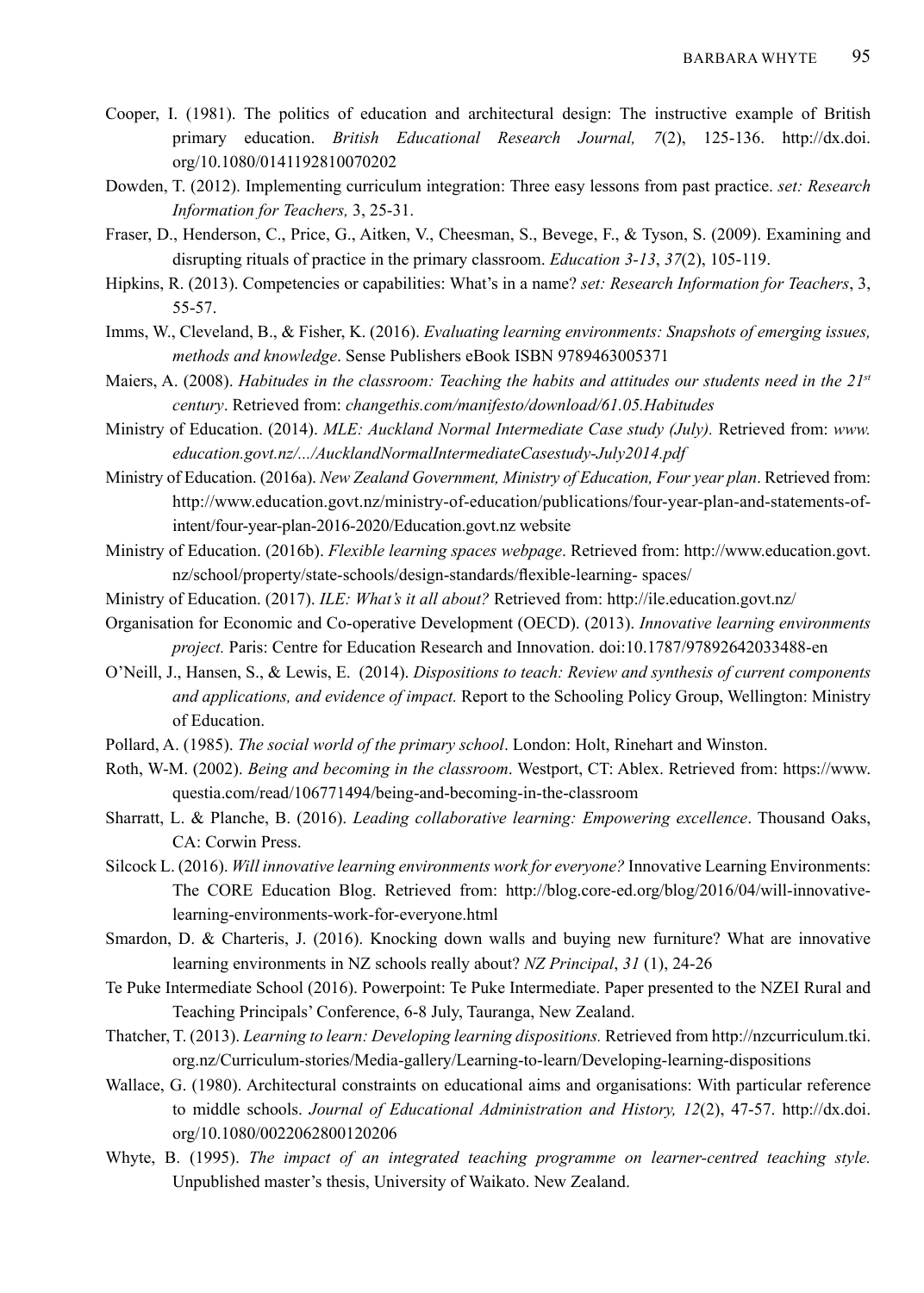- Cooper, I. (1981). The politics of education and architectural design: The instructive example of British primary education. *British Educational Research Journal, 7*(2), 125-136. http://dx.doi. org/10.1080/0141192810070202
- Dowden, T. (2012). Implementing curriculum integration: Three easy lessons from past practice. *set: Research Information for Teachers,* 3, 25-31.
- Fraser, D., Henderson, C., Price, G., Aitken, V., Cheesman, S., Bevege, F., & Tyson, S. (2009). Examining and disrupting rituals of practice in the primary classroom. *Education 3-13*, *37*(2), 105-119.
- Hipkins, R. (2013). Competencies or capabilities: What's in a name? *set: Research Information for Teachers*, 3, 55-57.
- Imms, W., Cleveland, B., & Fisher, K. (2016). *Evaluating learning environments: Snapshots of emerging issues, methods and knowledge*. Sense Publishers eBook ISBN 9789463005371
- Maiers, A. (2008). *Habitudes in the classroom: Teaching the habits and attitudes our students need in the 21st century*. Retrieved from: *changethis.com/manifesto/download/61.05.Habitudes*
- Ministry of Education. (2014). *MLE: Auckland Normal Intermediate Case study (July).* Retrieved from: *www. education.govt.nz/.../AucklandNormalIntermediateCasestudy-July2014.pdf*
- Ministry of Education. (2016a). *New Zealand Government, Ministry of Education, Four year plan*. Retrieved from: http://www.education.govt.nz/ministry-of-education/publications/four-year-plan-and-statements-ofintent/four-year-plan-2016-2020/Education.govt.nz website
- Ministry of Education. (2016b). *Flexible learning spaces webpage*. Retrieved from: http://www.education.govt. nz/school/property/state-schools/design-standards/flexible-learning- spaces/
- Ministry of Education. (2017). *ILE: What's it all about?* Retrieved from: http://ile.education.govt.nz/
- Organisation for Economic and Co-operative Development (OECD). (2013). *Innovative learning environments project.* Paris: Centre for Education Research and Innovation. doi:10.1787/97892642033488-en
- O'Neill, J., Hansen, S., & Lewis, E. (2014). *Dispositions to teach: Review and synthesis of current components and applications, and evidence of impact.* Report to the Schooling Policy Group, Wellington: Ministry of Education.
- Pollard, A. (1985). *The social world of the primary school*. London: Holt, Rinehart and Winston.
- Roth, W-M. (2002). *Being and becoming in the classroom*. Westport, CT: Ablex. Retrieved from: https://www. questia.com/read/106771494/being-and-becoming-in-the-classroom
- Sharratt, L. & Planche, B. (2016). *Leading collaborative learning: Empowering excellence*. Thousand Oaks, CA: Corwin Press.
- Silcock L. (2016). *Will innovative learning environments work for everyone?* Innovative Learning Environments: The CORE Education Blog. Retrieved from: http://blog.core-ed.org/blog/2016/04/will-innovativelearning-environments-work-for-everyone.html
- Smardon, D. & Charteris, J. (2016). Knocking down walls and buying new furniture? What are innovative learning environments in NZ schools really about? *NZ Principal*, *31* (1), 24-26
- Te Puke Intermediate School (2016). Powerpoint: Te Puke Intermediate. Paper presented to the NZEI Rural and Teaching Principals' Conference, 6-8 July, Tauranga, New Zealand.
- Thatcher, T. (2013). *Learning to learn: Developing learning dispositions.* Retrieved from http://nzcurriculum.tki. org.nz/Curriculum-stories/Media-gallery/Learning-to-learn/Developing-learning-dispositions
- Wallace, G. (1980). Architectural constraints on educational aims and organisations: With particular reference to middle schools. *Journal of Educational Administration and History, 12*(2), 47-57. http://dx.doi. org/10.1080/0022062800120206
- Whyte, B. (1995). *The impact of an integrated teaching programme on learner-centred teaching style.* Unpublished master's thesis, University of Waikato. New Zealand.